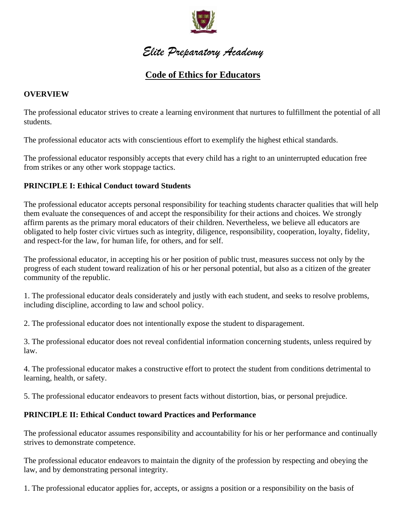

# *Elite Preparatory Academy*

# **Code of Ethics for Educators**

#### **OVERVIEW**

The professional educator strives to create a learning environment that nurtures to fulfillment the potential of all students.

The professional educator acts with conscientious effort to exemplify the highest ethical standards.

The professional educator responsibly accepts that every child has a right to an uninterrupted education free from strikes or any other work stoppage tactics.

#### **PRINCIPLE I: Ethical Conduct toward Students**

The professional educator accepts personal responsibility for teaching students character qualities that will help them evaluate the consequences of and accept the responsibility for their actions and choices. We strongly affirm parents as the primary moral educators of their children. Nevertheless, we believe all educators are obligated to help foster civic virtues such as integrity, diligence, responsibility, cooperation, loyalty, fidelity, and respect-for the law, for human life, for others, and for self.

The professional educator, in accepting his or her position of public trust, measures success not only by the progress of each student toward realization of his or her personal potential, but also as a citizen of the greater community of the republic.

1. The professional educator deals considerately and justly with each student, and seeks to resolve problems, including discipline, according to law and school policy.

2. The professional educator does not intentionally expose the student to disparagement.

3. The professional educator does not reveal confidential information concerning students, unless required by law.

4. The professional educator makes a constructive effort to protect the student from conditions detrimental to learning, health, or safety.

5. The professional educator endeavors to present facts without distortion, bias, or personal prejudice.

# **PRINCIPLE II: Ethical Conduct toward Practices and Performance**

The professional educator assumes responsibility and accountability for his or her performance and continually strives to demonstrate competence.

The professional educator endeavors to maintain the dignity of the profession by respecting and obeying the law, and by demonstrating personal integrity.

1. The professional educator applies for, accepts, or assigns a position or a responsibility on the basis of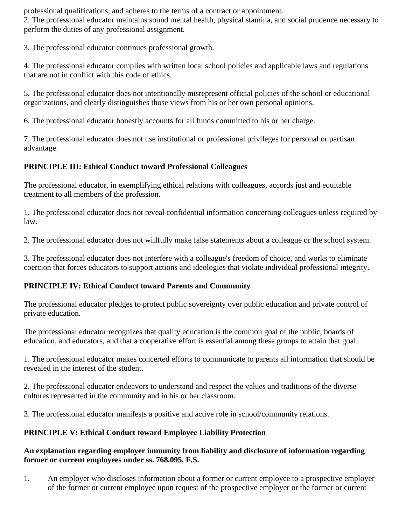professional qualifications, and adheres to the terms of a contract or appointment.

2. The professional educator maintains sound mental health, physical stamina, and social prudence necessary to perform the duties of any professional assignment.

3. The professional educator continues professional growth.

4. The professional educator complies with written local school policies and applicable laws and regulations that are not in conflict with this code of ethics.

5. The professional educator does not intentionally misrepresent official policies of the school or educational organizations, and clearly distinguishes those views from his or her own personal opinions.

6. The professional educator honestly accounts for all funds committed to his or her charge.

7. The professional educator does not use institutional or professional privileges for personal or partisan advantage.

# **PRINCIPLE III: Ethical Conduct toward Professional Colleagues**

The professional educator, in exemplifying ethical relations with colleagues, accords just and equitable treatment to all members of the profession.

1. The professional educator does not reveal confidential information concerning colleagues unless required by law.

2. The professional educator does not willfully make false statements about a colleague or the school system.

3. The professional educator does not interfere with a colleague's freedom of choice, and works to eliminate coercion that forces educators to support actions and ideologies that violate individual professional integrity.

# **PRINCIPLE IV: Ethical Conduct toward Parents and Community**

The professional educator pledges to protect public sovereignty over public education and private control of private education.

The professional educator recognizes that quality education is the common goal of the public, boards of education, and educators, and that a cooperative effort is essential among these groups to attain that goal.

1. The professional educator makes concerted efforts to communicate to parents all information that should be revealed in the interest of the student.

2. The professional educator endeavors to understand and respect the values and traditions of the diverse cultures represented in the community and in his or her classroom.

3. The professional educator manifests a positive and active role in school/community relations.

# **PRINCIPLE V: Ethical Conduct toward Employee Liability Protection**

#### **An explanation regarding employer immunity from liability and disclosure of information regarding former or current employees under ss. 768.095, F.S.**

1. An employer who discloses information about a former or current employee to a prospective employer of the former or current employee upon request of the prospective employer or the former or current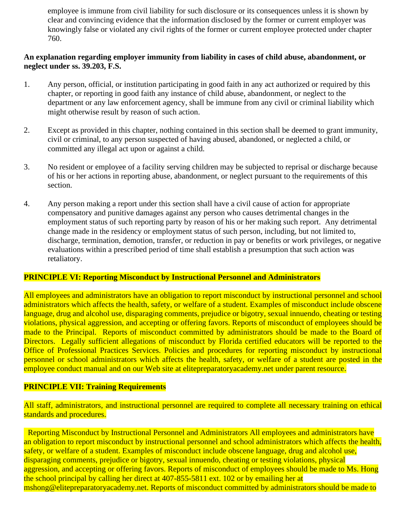employee is immune from civil liability for such disclosure or its consequences unless it is shown by clear and convincing evidence that the information disclosed by the former or current employer was knowingly false or violated any civil rights of the former or current employee protected under chapter 760.

#### **An explanation regarding employer immunity from liability in cases of child abuse, abandonment, or neglect under ss. 39.203, F.S.**

- 1. Any person, official, or institution participating in good faith in any act authorized or required by this chapter, or reporting in good faith any instance of child abuse, abandonment, or neglect to the department or any law enforcement agency, shall be immune from any civil or criminal liability which might otherwise result by reason of such action.
- 2. Except as provided in this chapter, nothing contained in this section shall be deemed to grant immunity, civil or criminal, to any person suspected of having abused, abandoned, or neglected a child, or committed any illegal act upon or against a child.
- 3. No resident or employee of a facility serving children may be subjected to reprisal or discharge because of his or her actions in reporting abuse, abandonment, or neglect pursuant to the requirements of this section.
- 4. Any person making a report under this section shall have a civil cause of action for appropriate compensatory and punitive damages against any person who causes detrimental changes in the employment status of such reporting party by reason of his or her making such report. Any detrimental change made in the residency or employment status of such person, including, but not limited to, discharge, termination, demotion, transfer, or reduction in pay or benefits or work privileges, or negative evaluations within a prescribed period of time shall establish a presumption that such action was retaliatory.

#### **PRINCIPLE VI: Reporting Misconduct by Instructional Personnel and Administrators**

All employees and administrators have an obligation to report misconduct by instructional personnel and school administrators which affects the health, safety, or welfare of a student. Examples of misconduct include obscene language, drug and alcohol use, disparaging comments, prejudice or bigotry, sexual innuendo, cheating or testing violations, physical aggression, and accepting or offering favors. Reports of misconduct of employees should be made to the Principal. Reports of misconduct committed by administrators should be made to the Board of Directors. Legally sufficient allegations of misconduct by Florida certified educators will be reported to the Office of Professional Practices Services. Policies and procedures for reporting misconduct by instructional personnel or school administrators which affects the health, safety, or welfare of a student are posted in the employee conduct manual and on our Web site at elitepreparatoryacademy.net under parent resource.

#### **PRINCIPLE VII: Training Requirements**

All staff, administrators, and instructional personnel are required to complete all necessary training on ethical standards and procedures.

 Reporting Misconduct by Instructional Personnel and Administrators All employees and administrators have an obligation to report misconduct by instructional personnel and school administrators which affects the health, safety, or welfare of a student. Examples of misconduct include obscene language, drug and alcohol use, disparaging comments, prejudice or bigotry, sexual innuendo, cheating or testing violations, physical aggression, and accepting or offering favors. Reports of misconduct of employees should be made to Ms. Hong the school principal by calling her direct at 407-855-5811 ext. 102 or by emailing her at mshong@elitepreparatoryacademy.net. Reports of misconduct committed by administrators should be made to